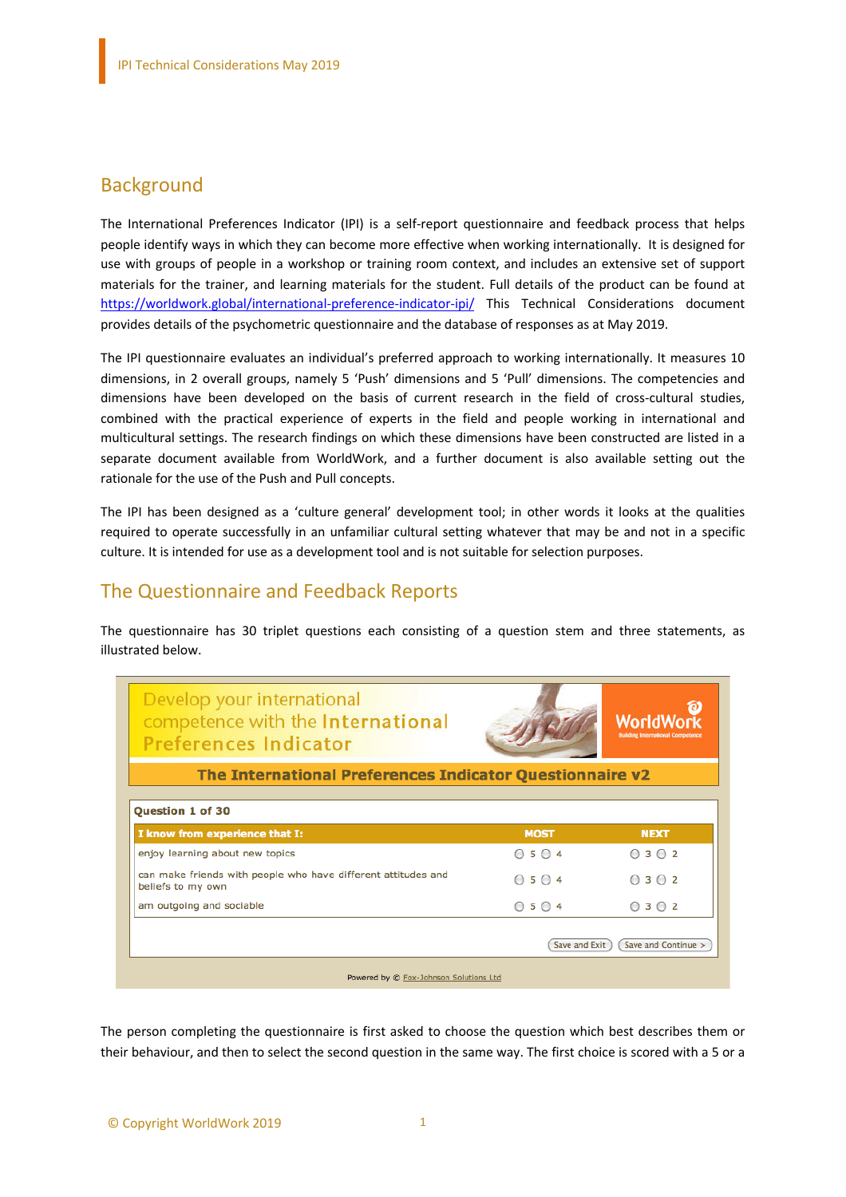#### **Background**

The International Preferences Indicator (IPI) is a self-report questionnaire and feedback process that helps people identify ways in which they can become more effective when working internationally. It is designed for use with groups of people in a workshop or training room context, and includes an extensive set of support materials for the trainer, and learning materials for the student. Full details of the product can be found at https://worldwork.global/international-preference-indicator-ipi/ This Technical Considerations document provides details of the psychometric questionnaire and the database of responses as at May 2019.

The IPI questionnaire evaluates an individual's preferred approach to working internationally. It measures 10 dimensions, in 2 overall groups, namely 5 'Push' dimensions and 5 'Pull' dimensions. The competencies and dimensions have been developed on the basis of current research in the field of cross-cultural studies, combined with the practical experience of experts in the field and people working in international and multicultural settings. The research findings on which these dimensions have been constructed are listed in a separate document available from WorldWork, and a further document is also available setting out the rationale for the use of the Push and Pull concepts.

The IPI has been designed as a 'culture general' development tool; in other words it looks at the qualities required to operate successfully in an unfamiliar cultural setting whatever that may be and not in a specific culture. It is intended for use as a development tool and is not suitable for selection purposes.

### The Questionnaire and Feedback Reports

The questionnaire has 30 triplet questions each consisting of a question stem and three statements, as illustrated below.

| Develop your international<br>competence with the International<br><b>Preferences Indicator</b> |             | WorldWo<br><b>Building International Competence</b> |  |  |  |  |  |
|-------------------------------------------------------------------------------------------------|-------------|-----------------------------------------------------|--|--|--|--|--|
| The International Preferences Indicator Questionnaire v2                                        |             |                                                     |  |  |  |  |  |
| Question 1 of 30                                                                                |             |                                                     |  |  |  |  |  |
| I know from experience that I:                                                                  | <b>MOST</b> | <b>NEXT</b>                                         |  |  |  |  |  |
| enjoy learning about new topics                                                                 | $O$ 5 $O$ 4 | $\bigcirc$ 3 $\bigcirc$ 2                           |  |  |  |  |  |
| can make friends with people who have different attitudes and<br>beliefs to my own              | $O$ 5 $O$ 4 | $\bigcirc$ 3 $\bigcirc$ 2                           |  |  |  |  |  |
| am outgoing and sociable                                                                        | $O$ 5 $O$ 4 | 0302                                                |  |  |  |  |  |
| Save and Continue ><br>Save and Exit                                                            |             |                                                     |  |  |  |  |  |
| Powered by @ Fox-Johnson Solutions Ltd                                                          |             |                                                     |  |  |  |  |  |

The person completing the questionnaire is first asked to choose the question which best describes them or their behaviour, and then to select the second question in the same way. The first choice is scored with a 5 or a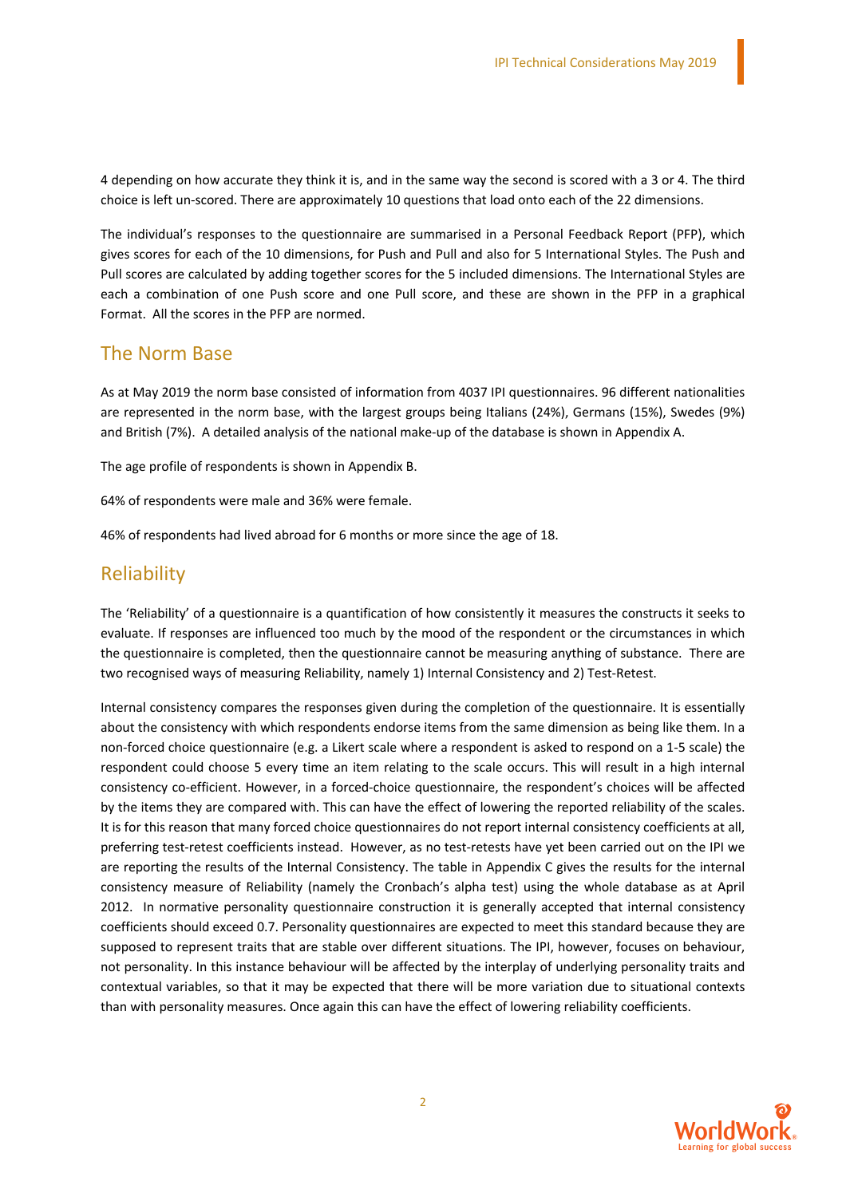4 depending on how accurate they think it is, and in the same way the second is scored with a 3 or 4. The third choice is left un-scored. There are approximately 10 questions that load onto each of the 22 dimensions.

The individual's responses to the questionnaire are summarised in a Personal Feedback Report (PFP), which gives scores for each of the 10 dimensions, for Push and Pull and also for 5 International Styles. The Push and Pull scores are calculated by adding together scores for the 5 included dimensions. The International Styles are each a combination of one Push score and one Pull score, and these are shown in the PFP in a graphical Format. All the scores in the PFP are normed.

#### The Norm Base

As at May 2019 the norm base consisted of information from 4037 IPI questionnaires. 96 different nationalities are represented in the norm base, with the largest groups being Italians (24%), Germans (15%), Swedes (9%) and British (7%). A detailed analysis of the national make-up of the database is shown in Appendix A.

The age profile of respondents is shown in Appendix B.

64% of respondents were male and 36% were female.

46% of respondents had lived abroad for 6 months or more since the age of 18.

#### Reliability

The 'Reliability' of a questionnaire is a quantification of how consistently it measures the constructs it seeks to evaluate. If responses are influenced too much by the mood of the respondent or the circumstances in which the questionnaire is completed, then the questionnaire cannot be measuring anything of substance. There are two recognised ways of measuring Reliability, namely 1) Internal Consistency and 2) Test-Retest.

Internal consistency compares the responses given during the completion of the questionnaire. It is essentially about the consistency with which respondents endorse items from the same dimension as being like them. In a non-forced choice questionnaire (e.g. a Likert scale where a respondent is asked to respond on a 1-5 scale) the respondent could choose 5 every time an item relating to the scale occurs. This will result in a high internal consistency co-efficient. However, in a forced-choice questionnaire, the respondent's choices will be affected by the items they are compared with. This can have the effect of lowering the reported reliability of the scales. It is for this reason that many forced choice questionnaires do not report internal consistency coefficients at all, preferring test-retest coefficients instead. However, as no test-retests have yet been carried out on the IPI we are reporting the results of the Internal Consistency. The table in Appendix C gives the results for the internal consistency measure of Reliability (namely the Cronbach's alpha test) using the whole database as at April 2012. In normative personality questionnaire construction it is generally accepted that internal consistency coefficients should exceed 0.7. Personality questionnaires are expected to meet this standard because they are supposed to represent traits that are stable over different situations. The IPI, however, focuses on behaviour, not personality. In this instance behaviour will be affected by the interplay of underlying personality traits and contextual variables, so that it may be expected that there will be more variation due to situational contexts than with personality measures. Once again this can have the effect of lowering reliability coefficients.

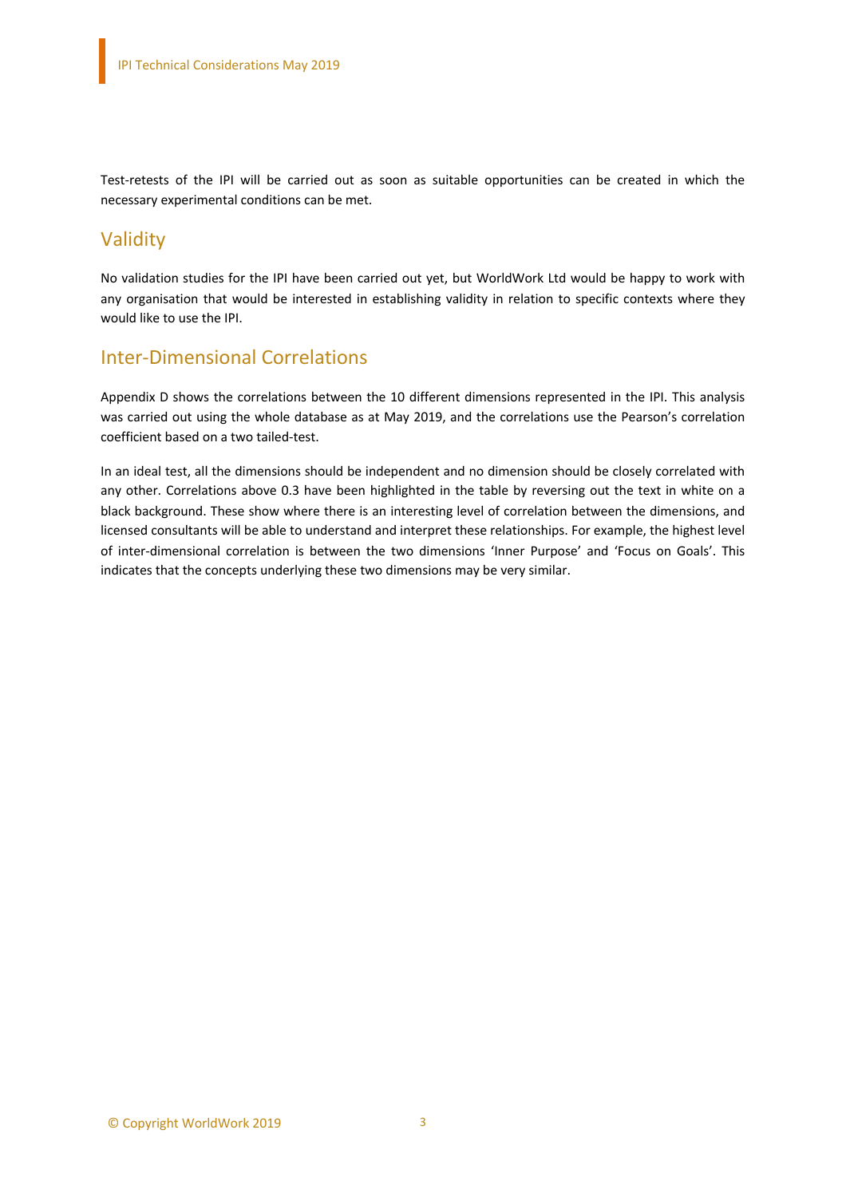Test-retests of the IPI will be carried out as soon as suitable opportunities can be created in which the necessary experimental conditions can be met.

#### Validity

No validation studies for the IPI have been carried out yet, but WorldWork Ltd would be happy to work with any organisation that would be interested in establishing validity in relation to specific contexts where they would like to use the IPI.

#### Inter-Dimensional Correlations

Appendix D shows the correlations between the 10 different dimensions represented in the IPI. This analysis was carried out using the whole database as at May 2019, and the correlations use the Pearson's correlation coefficient based on a two tailed-test.

In an ideal test, all the dimensions should be independent and no dimension should be closely correlated with any other. Correlations above 0.3 have been highlighted in the table by reversing out the text in white on a black background. These show where there is an interesting level of correlation between the dimensions, and licensed consultants will be able to understand and interpret these relationships. For example, the highest level of inter-dimensional correlation is between the two dimensions 'Inner Purpose' and 'Focus on Goals'. This indicates that the concepts underlying these two dimensions may be very similar.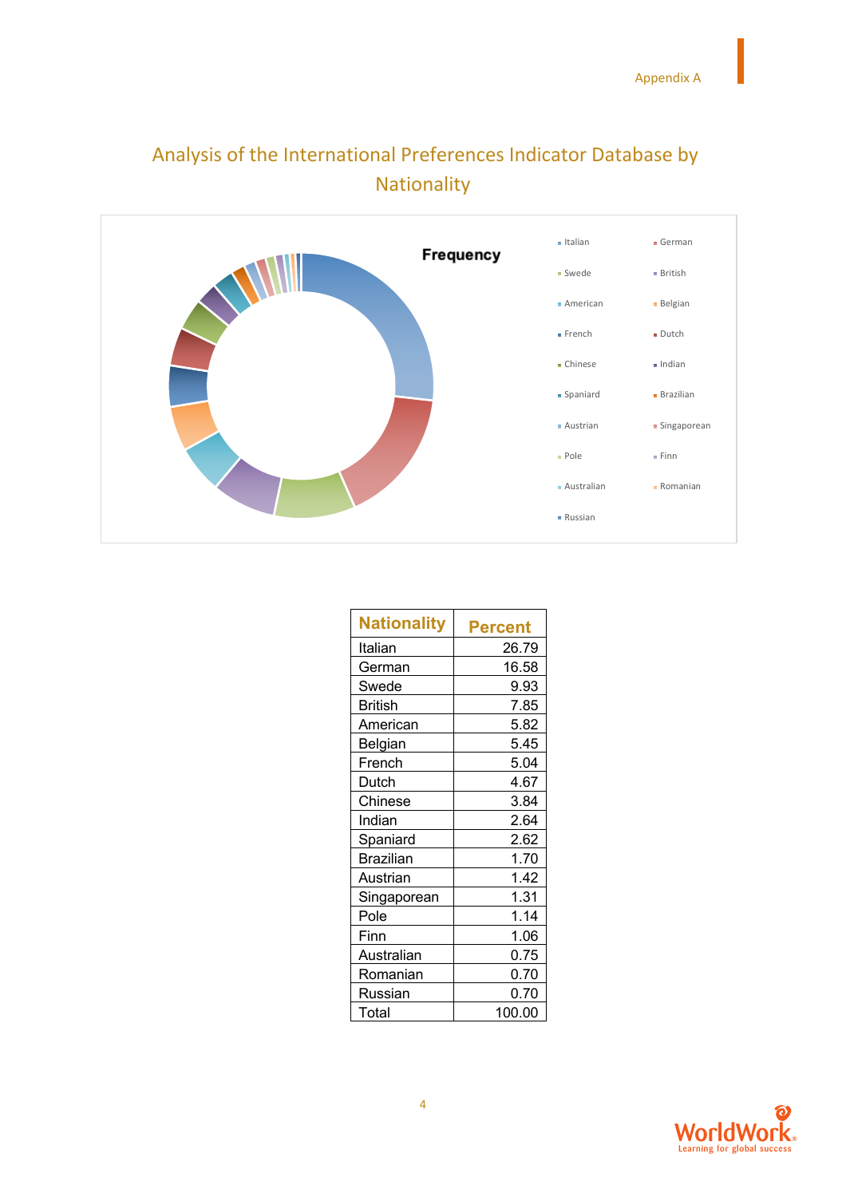

# Analysis of the International Preferences Indicator Database by Nationality

| Nationality      | Percent |
|------------------|---------|
| Italian          | 26.79   |
| German           | 16.58   |
| Swede            | 9.93    |
| <b>British</b>   | 7.85    |
| American         | 5.82    |
| Belgian          | 5.45    |
| French           | 5.04    |
| Dutch            | 4.67    |
| Chinese          | 3.84    |
| Indian           | 2.64    |
| Spaniard         | 2.62    |
| <b>Brazilian</b> | 1.70    |
| Austrian         | 1.42    |
| Singaporean      | 1.31    |
| Pole             | 1.14    |
| Finn             | 1.06    |
| Australian       | 0.75    |
| Romanian         | 0.70    |
| Russian          | 0.70    |
| Total            | 100.00  |

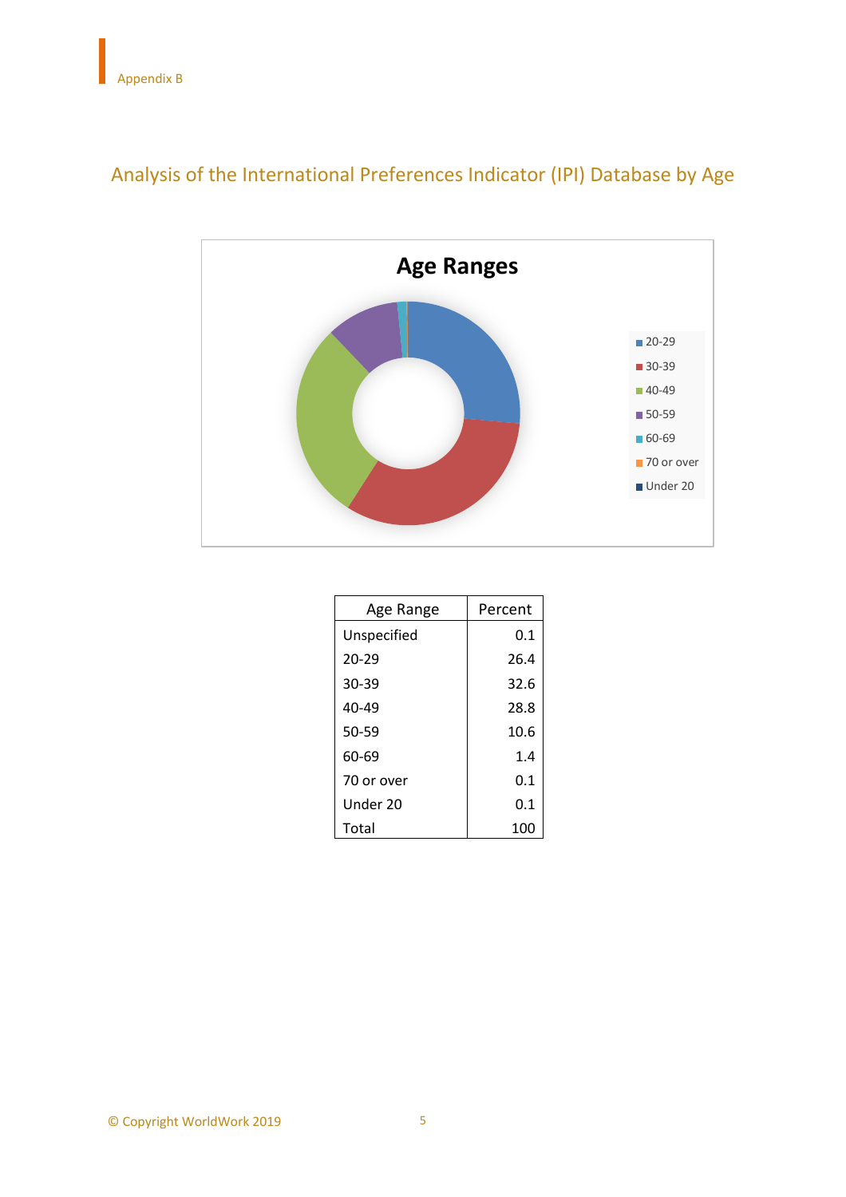

# Analysis of the International Preferences Indicator (IPI) Database by Age

| Age Range   | Percent |  |  |  |
|-------------|---------|--|--|--|
| Unspecified | 0.1     |  |  |  |
| $20 - 29$   | 26.4    |  |  |  |
| 30-39       | 32.6    |  |  |  |
| $40 - 49$   | 28.8    |  |  |  |
| 50-59       | 10.6    |  |  |  |
| 60-69       | 1.4     |  |  |  |
| 70 or over  | 0.1     |  |  |  |
| Under 20    | 0.1     |  |  |  |
| Total       | 100     |  |  |  |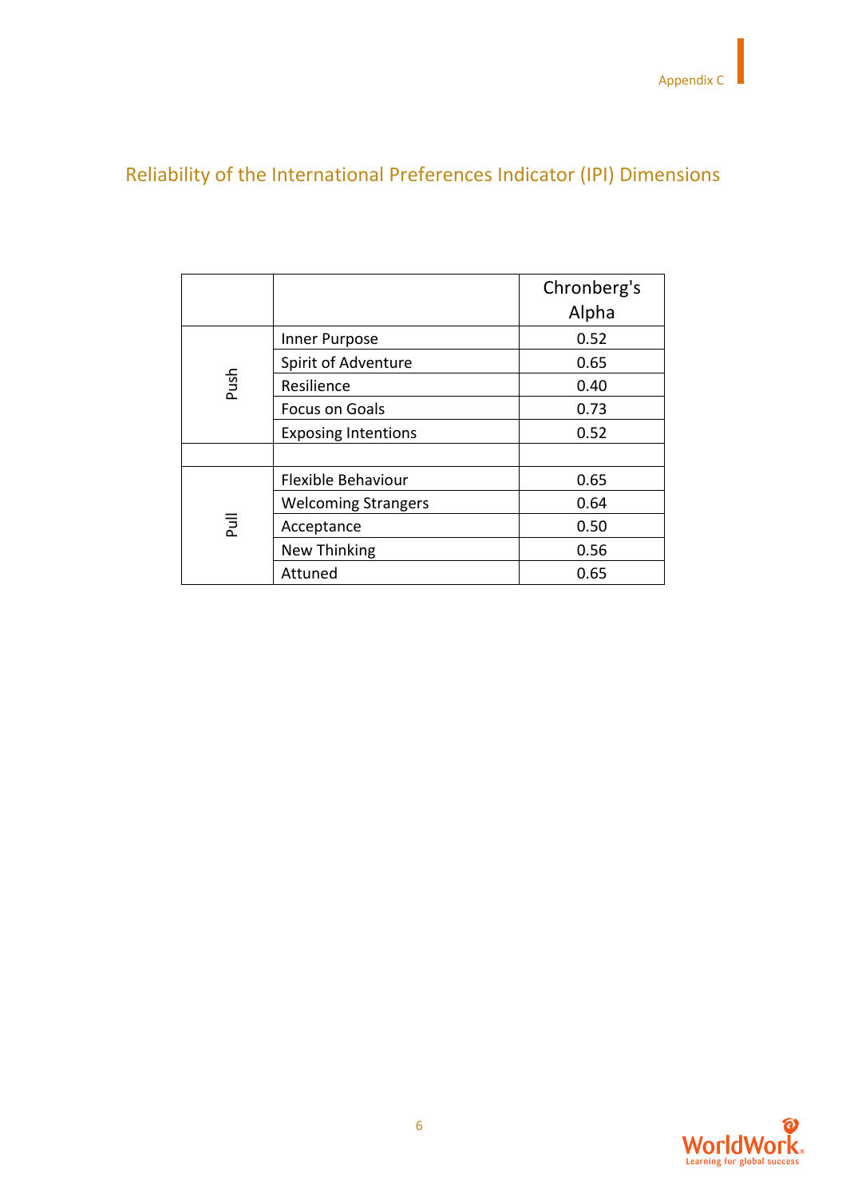# Reliability of the International Preferences Indicator (IPI) Dimensions

|      |                            | Chronberg's<br>Alpha |  |  |  |
|------|----------------------------|----------------------|--|--|--|
|      | Inner Purpose              | 0.52                 |  |  |  |
|      | Spirit of Adventure        | 0.65                 |  |  |  |
| Push | Resilience                 | 0.40                 |  |  |  |
|      | Focus on Goals             | 0.73                 |  |  |  |
|      | <b>Exposing Intentions</b> | 0.52                 |  |  |  |
|      |                            |                      |  |  |  |
|      | Flexible Behaviour         | 0.65                 |  |  |  |
|      | <b>Welcoming Strangers</b> | 0.64                 |  |  |  |
| 悥    | Acceptance                 | 0.50                 |  |  |  |
|      | New Thinking               | 0.56                 |  |  |  |
|      | Attuned                    | 0.65                 |  |  |  |